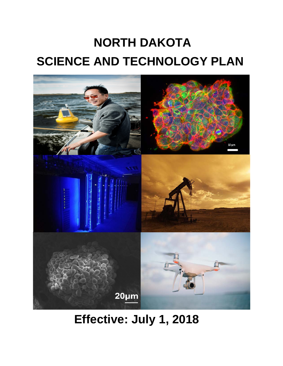# **NORTH DAKOTA SCIENCE AND TECHNOLOGY PLAN**



# **Effective: July 1, 2018**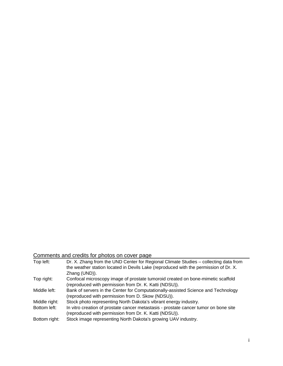## Comments and credits for photos on cover page

| Top left:     | Dr. X. Zhang from the UND Center for Regional Climate Studies - collecting data from |
|---------------|--------------------------------------------------------------------------------------|
|               | the weather station located in Devils Lake (reproduced with the permission of Dr. X. |
|               | Zhang (UND)).                                                                        |
| Top right:    | Confocal microscopy image of prostate tumoroid created on bone-mimetic scaffold      |
|               | (reproduced with permission from Dr. K. Katti (NDSU)).                               |
| Middle left:  | Bank of servers in the Center for Computationally-assisted Science and Technology    |
|               | (reproduced with permission from D. Skow (NDSU)).                                    |
| Middle right: | Stock photo representing North Dakota's vibrant energy industry.                     |
| Bottom left:  | In vitro creation of prostate cancer metastasis - prostate cancer tumor on bone site |
|               | (reproduced with permission from Dr. K. Katti (NDSU)).                               |
| Bottom right: | Stock image representing North Dakota's growing UAV industry.                        |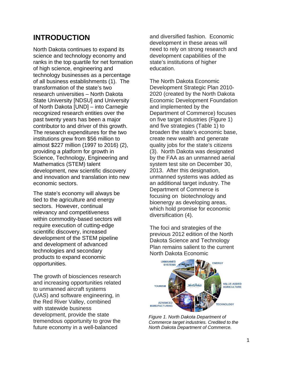# **INTRODUCTION**

North Dakota continues to expand its science and technology economy and ranks in the top quartile for net formation of high science, engineering and technology businesses as a percentage of all business establishments (1). The transformation of the state's two research universities – North Dakota State University [NDSU] and University of North Dakota [UND] – into Carnegie recognized research entities over the past twenty years has been a major contributor to and driver of this growth. The research expenditures for the two institutions grew from \$56 million to almost \$227 million (1997 to 2016) (2), providing a platform for growth in Science, Technology, Engineering and Mathematics (STEM) talent development, new scientific discovery and innovation and translation into new economic sectors.

The state's economy will always be tied to the agriculture and energy sectors. However, continual relevancy and competitiveness within commodity-based sectors will require execution of cutting-edge scientific discovery, increased development of the STEM pipeline and development of advanced technologies and secondary products to expand economic opportunities.

The growth of biosciences research and increasing opportunities related to unmanned aircraft systems (UAS) and software engineering, in the Red River Valley, combined with statewide business development, provide the state tremendous opportunity to grow the future economy in a well-balanced

and diversified fashion. Economic development in these areas will need to rely on strong research and development capabilities of the state's institutions of higher education.

The North Dakota Economic Development Strategic Plan 2010- 2020 (created by the North Dakota Economic Development Foundation and implemented by the Department of Commerce) focuses on five target industries (Figure 1) and five strategies (Table 1) to broaden the state's economic base, create new wealth and generate quality jobs for the state's citizens (3). North Dakota was designated by the FAA as an unmanned aerial system test site on December 30, 2013. After this designation, unmanned systems was added as an additional target industry. The Department of Commerce is focusing on biotechnology and bioenergy as developing areas, which hold promise for economic diversification (4).

The foci and strategies of the previous 2012 edition of the North Dakota Science and Technology Plan remains salient to the current North Dakota Economic



*Figure 1. North Dakota Department of Commerce target industries. Credited to the North Dakota Department of Commerce.*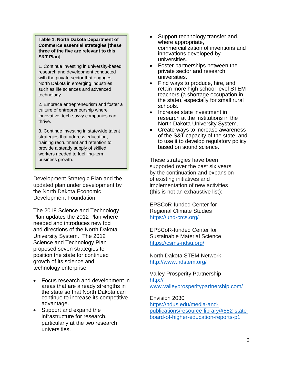**Table 1. North Dakota Department of Commerce essential strategies [these three of the five are relevant to this S&T Plan].**

1. Continue investing in university-based research and development conducted with the private sector that engages North Dakota in emerging industries such as life sciences and advanced technology.

2. Embrace entrepreneurism and foster a culture of entrepreneurship where innovative, tech-savvy companies can thrive.

3. Continue investing in statewide talent strategies that address education, training recruitment and retention to provide a steady supply of skilled workers needed to fuel ling-term business growth.

Development Strategic Plan and the updated plan under development by the North Dakota Economic Development Foundation.

The 2018 Science and Technology Plan updates the 2012 Plan where needed and introduces new foci and directions of the North Dakota University System. The 2012 Science and Technology Plan proposed seven strategies to position the state for continued growth of its science and technology enterprise:

- Focus research and development in areas that are already strengths in the state so that North Dakota can continue to increase its competitive advantage.
- Support and expand the infrastructure for research, particularly at the two research universities.
- Support technology transfer and, where appropriate, commercialization of inventions and innovations developed by universities.
- Foster partnerships between the private sector and research universities.
- Find ways to produce, hire, and retain more high school-level STEM teachers (a shortage occupation in the state), especially for small rural schools.
- Increase state investment in research at the institutions in the North Dakota University System.
- Create ways to increase awareness of the S&T capacity of the state, and to use it to develop regulatory policy based on sound science.

These strategies have been supported over the past six years by the continuation and expansion of existing initiatives and implementation of new activities (this is not an exhaustive list):

EPSCoR-funded Center for Regional Climate Studies <https://und-crcs.org/>

EPSCoR-funded Center for Sustainable Material Science <https://csms-ndsu.org/>

North Dakota STEM Network <http://www.ndstem.org/>

Valley Prosperity Partnership [http://](http://www.valleyprosperitypartnership.com/) [www](http://www.valleyprosperitypartnership.com/).valleyprosperitypartnership.com/

Envision 2030 [https://ndus.edu/media-and](https://ndus.edu/media-and-publications/resource-library/#852-state-board-of-higher-education-reports-p1)[publications/resource-library/#852-state](https://ndus.edu/media-and-publications/resource-library/#852-state-board-of-higher-education-reports-p1)[board-of-higher-education-reports-p1](https://ndus.edu/media-and-publications/resource-library/#852-state-board-of-higher-education-reports-p1)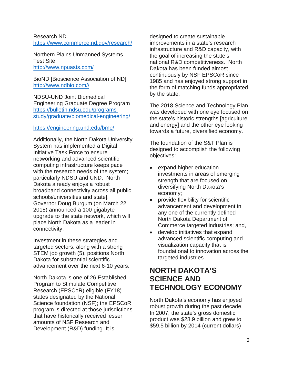#### Research ND <https://www.commerce.nd.gov/research/>

Northern Plains Unmanned Systems Test Site <http://www.npuasts.com/>

BioND [Bioscience Association of ND] [http://www.ndbio.com//](http://www.ndbio.com/)

NDSU-UND Joint Biomedical Engineering Graduate Degree Program [https://bulletin.ndsu.edu/programs](https://bulletin.ndsu.edu/programs-study/graduate/biomedical-engineering/)[study/graduate/biomedical-engineering/](https://bulletin.ndsu.edu/programs-study/graduate/biomedical-engineering/)

#### <https://engineering.und.edu/bme/>

Additionally, the North Dakota University System has implemented a Digital Initiative Task Force to ensure networking and advanced scientific computing infrastructure keeps pace with the research needs of the system; particularly NDSU and UND. North Dakota already enjoys a robust broadband connectivity across all public schools/universities and state]. Governor Doug Burgum (on March 22, 2018) announced a 100-gigabyte upgrade to the state network, which will place North Dakota as a leader in connectivity.

Investment in these strategies and targeted sectors, along with a strong STEM job growth (5), positions North Dakota for substantial scientific advancement over the next 6-10 years.

North Dakota is one of 26 Established Program to Stimulate Competitive Research (EPSCoR) eligible (FY18) states designated by the National Science foundation (NSF); the EPSCoR program is directed at those jurisdictions that have historically received lesser amounts of NSF Research and Development (R&D) funding. It is

designed to create sustainable improvements in a state's research infrastructure and R&D capacity, with the goal of increasing the state's national R&D competitiveness. North Dakota has been funded almost continuously by NSF EPSCoR since 1985 and has enjoyed strong support in the form of matching funds appropriated by the state.

The 2018 Science and Technology Plan was developed with one eye focused on the state's historic strengths [agriculture and energy] and the other eye looking towards a future, diversified economy.

The foundation of the S&T Plan is designed to accomplish the following objectives:

- expand higher education investments in areas of emerging strength that are focused on diversifying North Dakota's economy;
- provide flexibility for scientific advancement and development in any one of the currently defined North Dakota Department of Commerce targeted industries; and,
- develop initiatives that expand advanced scientific computing and visualization capacity that is foundational to innovation across the targeted industries.

## **NORTH DAKOTA'S SCIENCE AND TECHNOLOGY ECONOMY**

North Dakota's economy has enjoyed robust growth during the past decade. In 2007, the state's gross domestic product was \$28.9 billion and grew to \$59.5 billion by 2014 (current dollars)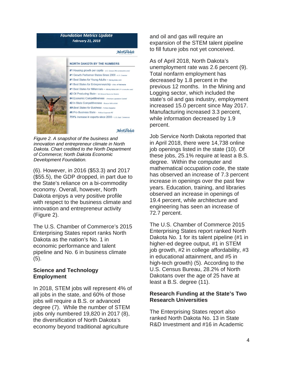#### **Foundation Metrics Update February 21, 2018**

#### North Dakota



#### **NORTH DAKOTA BY THE NUMBERS**

- #1 Housing growth per capita U.S. Consus (4th consecutive year)
- #1 Growth Performer States Since 2000 u.s. Chamber #1 Best States for Young Adults - Moneyrates.com
- #1 Best States for Entrepreneurship Univ. of Nebraska
- #1 Best States for Millennials Moneyrates.com (2w)
- #2 Oil Producing State ND Mineral Resource Division
- #4 Economic Competitiveness American Legislative Council #2 In State Competitiveness - Beacon Hill Institute
- #9 Best States for Business Forbes Magazine
- #6 Pro-Business State Pollina Corporato RE

751% increase in exports since 2000 - u.s. Dept. Comm

#### North Dakota

*Figure 2. A snapshot of the business and innovation and entrepreneur climate in North Dakota. Chart credited to the North Department of Commerce; North Dakota Economic Development Foundation.*

(6). However, in 2016 (\$53.3) and 2017 (\$55.5), the GDP dropped, in part due to the State's reliance on a bi-commodity economy. Overall, however, North Dakota enjoys a very positive profile with respect to the business climate and innovation and entrepreneur activity (Figure 2).

The U.S. Chamber of Commerce's 2015 Enterprising States report ranks North Dakota as the nation's No. 1 in economic performance and talent pipeline and No. 6 in business climate (5).

#### **Science and Technology Employment**

In 2018, STEM jobs will represent 4% of all jobs in the state, and 60% of those jobs will require a B.S. or advanced degree (7). While the number of STEM iobs only numbered 19,820 in 2017 (8), the diversification of North Dakota's economy beyond traditional agriculture

and oil and gas will require an expansion of the STEM talent pipeline to fill future jobs not yet conceived.

As of April 2018, North Dakota's unemployment rate was 2.6 percent (9). Total nonfarm employment has decreased by 1.8 percent in the previous 12 months. In the Mining and Logging sector, which included the state's oil and gas industry, employment increased 15.0 percent since May 2017. Manufacturing increased 3.3 percent, while information decreased by 1.9 percent.

Job Service North Dakota reported that in April 2018, there were 14,738 online job openings listed in the state (10). Of these jobs, 25.1% require at least a B.S. degree. Within the computer and mathematical occupation code, the state has observed an increase of 7.3 percent increase in openings over the past few years. Education, training, and libraries observed an increase in openings of 19.4 percent, while architecture and engineering has seen an increase of 72.7 percent.

The U.S. Chamber of Commerce 2015 Enterprising States report ranked North Dakota No. 1 for its talent pipeline (#1 in higher-ed degree output, #1 in STEM job growth, #2 in college affordability, #3 in educational attainment, and #5 in high-tech growth) (5). According to the U.S. Census Bureau, 28.2% of North Dakotans over the age of 25 have at least a B.S. degree (11).

#### **Research Funding at the State's Two Research Universities**

The Enterprising States report also ranked North Dakota No. 13 in State R&D Investment and #16 in Academic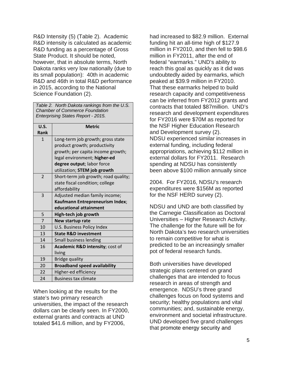R&D Intensity (5) (Table 2). Academic R&D intensity is calculated as academic R&D funding as a percentage of Gross State Product. It should be noted, however, that in absolute terms, North Dakota ranks very low nationally (due to its small population): 40th in academic R&D and 46th in total R&D performance in 2015, according to the National Science Foundation (2).

|                                    | Table 2. North Dakota rankings from the U.S. |  |  |
|------------------------------------|----------------------------------------------|--|--|
|                                    | <b>Chamber of Commerce Foundation</b>        |  |  |
| Enterprising States Report - 2015. |                                              |  |  |

| U.S.                     | <b>Metric</b>                                                                                                                                                                                        |
|--------------------------|------------------------------------------------------------------------------------------------------------------------------------------------------------------------------------------------------|
| Rank                     |                                                                                                                                                                                                      |
| $\mathbf{1}$             | Long-term job growth; gross state<br>product growth; productivity<br>growth; per capita income growth;<br>legal environment; higher-ed<br>degree output; labor force<br>utilization; STEM job growth |
| $\overline{\phantom{0}}$ | Short-term job growth; road quality;<br>state fiscal condition; college<br>affordability                                                                                                             |
| $\overline{3}$           | Adjusted median family income;<br>Kaufmann Entrepreneurism Index;<br>educational attainment                                                                                                          |
| 5                        | High-tech job growth                                                                                                                                                                                 |
| $\overline{7}$           | New startup rate                                                                                                                                                                                     |
| 10                       | U.S. Business Policy Index                                                                                                                                                                           |
| 13                       | <b>State R&amp;D investment</b>                                                                                                                                                                      |
| 14                       | Small business lending                                                                                                                                                                               |
| 16                       | Academic R&D intensity; cost of<br>living                                                                                                                                                            |
| 19                       | <b>Bridge quality</b>                                                                                                                                                                                |
| 20                       | <b>Broadband speed availability</b>                                                                                                                                                                  |
| 22                       | Higher-ed efficiency                                                                                                                                                                                 |
| 24                       | <b>Business tax climate</b>                                                                                                                                                                          |

When looking at the results for the state's two primary research universities, the impact of the research dollars can be clearly seen. In FY2000, external grants and contracts at UND totaled \$41.6 million, and by FY2006,

had increased to \$82.9 million. External funding hit an all-time high of \$127.9 million in FY2010, and then fell to \$98.6 million in FY2011, after the end of federal "earmarks." UND's ability to reach this goal as quickly as it did was undoubtedly aided by earmarks, which peaked at \$39.9 million in FY2010. That these earmarks helped to build research capacity and competitiveness can be inferred from FY2012 grants and contracts that totaled \$87million. UND's research and development expenditures for FY2016 were \$70M as reported for the NSF Higher Education Research and Development survey (2). NDSU experienced similar increases in external funding, including federal appropriations, achieving \$112 million in external dollars for FY2011. Research spending at NDSU has consistently been above \$100 million annually since

2004. For FY2016, NDSU's research expenditures were \$156M as reported for the NSF HERD survey (2).

NDSU and UND are both classified by the Carnegie Classification as Doctoral Universities – Higher Research Activity. The challenge for the future will be for North Dakota's two research universities to remain competitive for what is predicted to be an increasingly smaller pot of federal research funds.

Both universities have developed strategic plans centered on grand challenges that are intended to focus research in areas of strength and emergence. NDSU's three grand challenges focus on food systems and security; healthy populations and vital communities; and, sustainable energy, environment and societal infrastructure. UND developed five grand challenges that promote energy security and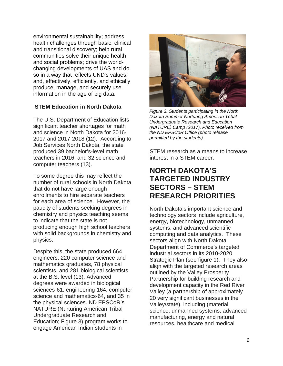environmental sustainability; address health challenges through basic, clinical and transitional discovery; help rural communities solve their unique health and social problems; drive the worldchanging developments of UAS and do so in a way that reflects UND's values; and, effectively, efficiently, and ethically produce, manage, and securely use information in the age of big data.

#### **STEM Education in North Dakota**

The U.S. Department of Education lists significant teacher shortages for math and science in North Dakota for 2016- 2017 and 2017-2018 (12). According to Job Services North Dakota, the state produced 39 bachelor's-level math teachers in 2016, and 32 science and computer teachers (13).

To some degree this may reflect the number of rural schools in North Dakota that do not have large enough enrollments to hire separate teachers for each area of science. However, the paucity of students seeking degrees in chemistry and physics teaching seems to indicate that the state is not producing enough high school teachers with solid backgrounds in chemistry and physics.

Despite this, the state produced 664 engineers, 220 computer science and mathematics graduates, 78 physical scientists, and 281 biological scientists at the B.S. level (13). Advanced degrees were awarded in biological sciences-61, engineering-164, computer science and mathematics-64, and 35 in the physical sciences. ND EPSCoR's NATURE (Nurturing American Tribal Undergraduate Research and Education; Figure 3) program works to engage American Indian students in



*Figure 3. Students participating in the North Dakota Summer Nurturing American Tribal Undergraduate Research and Education (NATURE) Camp (2017). Photo received from the ND EPSCoR Office (photo release permitted by the students).*

STEM research as a means to increase interest in a STEM career.

# **NORTH DAKOTA'S TARGETED INDUSTRY SECTORS – STEM RESEARCH PRIORITIES**

North Dakota's important science and technology sectors include agriculture, energy, biotechnology, unmanned systems, and advanced scientific computing and data analytics. These sectors align with North Dakota Department of Commerce's targeted industrial sectors in its 2010-2020 Strategic Plan (see figure 1). They also align with the targeted research areas outlined by the Valley Prosperity Partnership for building research and development capacity in the Red River Valley (a partnership of approximately 20 very significant businesses in the Valley/state), including (material science, unmanned systems, advanced manufacturing, energy and natural resources, healthcare and medical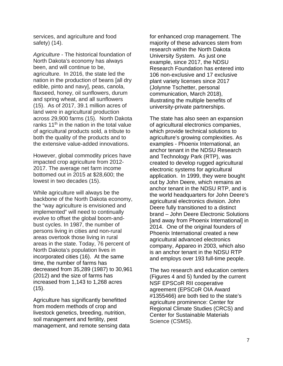services, and agriculture and food safety) (14).

*Agriculture* - The historical foundation of North Dakota's economy has always been, and will continue to be, agriculture. In 2016, the state led the nation in the production of beans [all dry edible, pinto and navy], peas, canola, flaxseed, honey, oil sunflowers, durum and spring wheat, and all sunflowers (15). As of 2017, 39.1 million acres of land were in agricultural production across 29,900 farms (15). North Dakota ranks  $11<sup>th</sup>$  in the nation in the total value of agricultural products sold, a tribute to both the quality of the products and to the extensive value-added innovations.

However, global commodity prices have impacted crop agriculture from 2012- 2017. The average net farm income bottomed out in 2015 at \$28,600; the lowest in two decades (15).

While agriculture will always be the backbone of the North Dakota economy, the "way agriculture is envisioned and implemented" will need to continually evolve to offset the global boom-andbust cycles. In 1987, the number of persons living in cities and non-rural areas overtook those living in rural areas in the state. Today, 76 percent of North Dakota's population lives in incorporated cities (16). At the same time, the number of farms has decreased from 35,289 (1987) to 30,961 (2012) and the size of farms has increased from 1,143 to 1,268 acres (15).

Agriculture has significantly benefitted from modern methods of crop and livestock genetics, breeding, nutrition, soil management and fertility, pest management, and remote sensing data for enhanced crop management. The majority of these advances stem from research within the North Dakota University System. As just one example, since 2017, the NDSU Research Foundation has entered into 106 non-exclusive and 17 exclusive plant variety licenses since 2017 (Jolynne Tschetter, personal communication, March 2018), illustrating the multiple benefits of university-private partnerships.

The state has also seen an expansion of agricultural electronics companies, which provide technical solutions to agriculture's growing complexities. As examples - Phoenix International, an anchor tenant in the NDSU Research and Technology Park (RTP), was created to develop rugged agricultural electronic systems for agricultural application. In 1999, they were bought out by John Deere, which remains an anchor tenant in the NDSU RTP, and is the world headquarters for John Deere's agricultural electronics division. John Deere fully transitioned to a distinct brand – John Deere Electronic Solutions [and away from Phoenix International] in 2014. One of the original founders of Phoenix International created a new agricultural advanced electronics company, Appareo in 2003, which also is an anchor tenant in the NDSU RTP and employs over 193 full-time people.

The two research and education centers (Figures 4 and 5) funded by the current NSF EPSCoR RII cooperative agreement (EPSCoR OIA Award #1355466) are both tied to the state's agriculture prominence: Center for Regional Climate Studies (CRCS) and Center for Sustainable Materials Science (CSMS).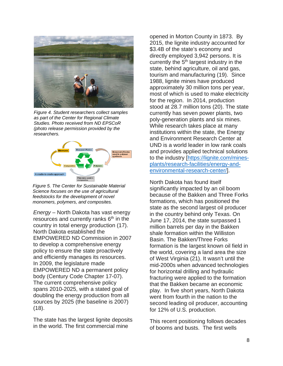

*Figure 4. Student researchers collect samples as part of the Center for Regional Climate Studies. Photo received from ND EPSCoR (photo release permission provided by the researchers.*



*Figure 5. The Center for Sustainable Material Science focuses on the use of agricultural feedstocks for the development of novel monomers, polymers, and composites.*

*Energy* – North Dakota has vast energy resources and currently ranks  $6<sup>th</sup>$  in the country in total energy production (17). North Dakota established the EMPOWERED ND Commission in 2007 to develop a comprehensive energy policy to ensure the state proactively and efficiently manages its resources. In 2009, the legislature made EMPOWERED ND a permanent policy body (Century Code Chapter 17-07). The current comprehensive policy spans 2010-2025, with a stated goal of doubling the energy production from all sources by 2025 (the baseline is 2007) (18).

The state has the largest lignite deposits in the world. The first commercial mine

opened in Morton County in 1873. By 2015, the lignite industry accounted for \$3.4B of the state's economy and directly employed 3,942 persons. It is currently the  $5<sup>th</sup>$  largest industry in the state, behind agriculture, oil and gas, tourism and manufacturing (19). Since 1988, lignite mines have produced approximately 30 million tons per year, most of which is used to make electricity for the region. In 2014, production stood at 28.7 million tons (20). The state currently has seven power plants, two poly-generation plants and six mines. While research takes place at many institutions within the state, the Energy and Environment Research Center at UND is a world leader in low rank coals and provides applied technical solutions to the industry [\[https://lignite.com/mines](https://lignite.com/mines-plants/research-facilities/energy-and-environmental-research-center/)[plants/research-facilities/energy-and](https://lignite.com/mines-plants/research-facilities/energy-and-environmental-research-center/)[environmental-research-center/\]](https://lignite.com/mines-plants/research-facilities/energy-and-environmental-research-center/).

North Dakota has found itself significantly impacted by an oil boom because of the Bakken and Three Forks formations, which has positioned the state as the second largest oil producer in the country behind only Texas. On June 17, 2014, the state surpassed 1 million barrels per day in the Bakken shale formation within the Williston Basin. The Bakken/Three Forks formation is the largest known oil field in the world, covering a land area the size of West Virginia (21). It wasn't until the mid-2000s when advanced technologies for horizontal drilling and hydraulic fracturing were applied to the formation that the Bakken became an economic play. In five short years, North Dakota went from fourth in the nation to the second leading oil producer, accounting for 12% of U.S. production.

This recent positioning follows decades of booms and busts. The first wells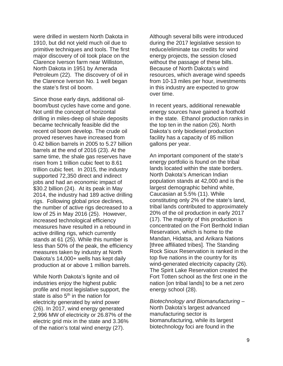were drilled in western North Dakota in 1910, but did not yield much oil due to primitive techniques and tools. The first major discovery of oil took place on the Clarence Iverson farm near Williston, North Dakota in 1951 by Amerada Petroleum (22). The discovery of oil in the Clarence Iverson No. 1 well began the state's first oil boom.

Since those early days, additional oilboom/bust cycles have come and gone. Not until the concept of horizontal drilling in miles-deep oil shale deposits became technically feasible did the recent oil boom develop. The crude oil proved reserves have increased from 0.42 billion barrels in 2005 to 5.27 billion barrels at the end of 2016 (23). At the same time, the shale gas reserves have risen from 1 trillion cubic feet to 8.61 trillion cubic feet. In 2015, the industry supported 72,350 direct and indirect jobs and had an economic impact of \$30.2 billion (24). At its peak in May 2014, the industry had 189 active drilling rigs. Following global price declines, the number of active rigs decreased to a low of 25 in May 2016 (25). However, increased technological efficiency measures have resulted in a rebound in active drilling rigs, which currently stands at 61 (25). While this number is less than 50% of the peak, the efficiency measures taken by industry at North Dakota's 14,000+ wells has kept daily production at or above 1 million barrels.

While North Dakota's lignite and oil industries enjoy the highest public profile and most legislative support, the state is also  $5<sup>th</sup>$  in the nation for electricity generated by wind power (26). In 2017, wind energy generated 2,996 MW of electricity or 26.87% of the electric grid mix in the state and 3.36% of the nation's total wind energy (27).

Although several bills were introduced during the 2017 legislative session to reduce/eliminate tax credits for wind energy projects, the session closed without the passage of these bills. Because of North Dakota's wind resources, which average wind speeds from 10-13 miles per hour, investments in this industry are expected to grow over time.

In recent years, additional renewable energy sources have gained a foothold in the state. Ethanol production ranks in the top ten in the nation (26). North Dakota's only biodiesel production facility has a capacity of 85 million gallons per year.

An important component of the state's energy portfolio is found on the tribal lands located within the state borders. North Dakota's American Indian population stands at 42,000 and is the largest demographic behind white, Caucasian at 5.5% (11). While constituting only 2% of the state's land, tribal lands contributed to approximately 20% of the oil production in early 2017 (17). The majority of this production is concentrated on the Fort Berthold Indian Reservation, which is home to the Mandan, Hidatsa, and Arikara Nations [three affiliated tribes]. The Standing Rock Sioux Reservation is ranked in the top five nations in the country for its wind-generated electricity capacity (26). The Spirit Lake Reservation created the Fort Totten school as the first one in the nation [on tribal lands] to be a net zero energy school (28).

*Biotechnology and Biomanufacturing –* North Dakota's largest advanced manufacturing sector is biomanufacturing, while its largest biotechnology foci are found in the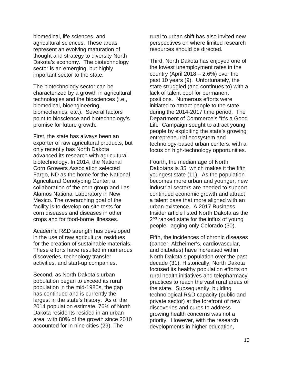biomedical, life sciences, and agricultural sciences. These areas represent an evolving maturation of thought and strategy to diversity North Dakota's economy. The biotechnology sector is an emerging, but highly important sector to the state.

The biotechnology sector can be characterized by a growth in agricultural technologies and the biosciences (i.e., biomedical, bioengineering, biomechanics, etc.). Several factors point to bioscience and biotechnology's promise for future growth.

First, the state has always been an exporter of raw agricultural products, but only recently has North Dakota advanced its research with agricultural biotechnology. In 2014, the National Corn Growers Association selected Fargo, ND as the home for the National Agricultural Genotyping Center; a collaboration of the corn group and Las Alamos National Laboratory in New Mexico. The overarching goal of the facility is to develop on-site tests for corn diseases and diseases in other crops and for food-borne illnesses.

Academic R&D strength has developed in the use of raw agricultural residues for the creation of sustainable materials. These efforts have resulted in numerous discoveries, technology transfer activities, and start-up companies.

Second, as North Dakota's urban population began to exceed its rural population in the mid-1980s, the gap has continued and is currently the largest in the state's history. As of the 2014 population estimate, 76% of North Dakota residents resided in an urban area, with 80% of the growth since 2010 accounted for in nine cities (29). The

rural to urban shift has also invited new perspectives on where limited research resources should be directed.

Third, North Dakota has enjoyed one of the lowest unemployment rates in the country (April  $2018 - 2.6%$ ) over the past 10 years (9). Unfortunately, the state struggled (and continues to) with a lack of talent pool for permanent positions. Numerous efforts were initiated to attract people to the state during the 2014-2017 time period. The Department of Commerce's "It's a Good Life" Campaign sought to attract young people by exploiting the state's growing entrepreneurial ecosystem and technology-based urban centers, with a focus on high-technology opportunities.

Fourth, the median age of North Dakotans is 35, which makes it the fifth youngest state (11). As the population becomes more urban and younger, new industrial sectors are needed to support continued economic growth and attract a talent base that more aligned with an urban existence. A 2017 Business Insider article listed North Dakota as the 2<sup>nd</sup> ranked state for the influx of young people; lagging only Colorado (30).

Fifth, the incidences of chronic diseases (cancer, Alzheimer's, cardiovascular, and diabetes) have increased within North Dakota's population over the past decade (31). Historically, North Dakota focused its healthy population efforts on rural health initiatives and telepharmacy practices to reach the vast rural areas of the state. Subsequently, building technological R&D capacity (public and private sector) at the forefront of new discoveries and cures to address growing health concerns was not a priority. However, with the research developments in higher education,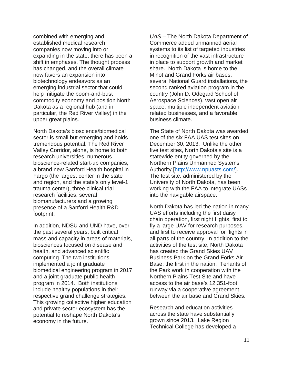combined with emerging and established medical research companies now moving into or expanding in the state, there has been a shift in emphases. The thought process has changed, and the overall climate now favors an expansion into biotechnology endeavors as an emerging industrial sector that could help mitigate the boom-and-bust commodity economy and position North Dakota as a regional hub (and in particular, the Red River Valley) in the upper great plains.

North Dakota's bioscience/biomedical sector is small but emerging and holds tremendous potential. The Red River Valley Corridor, alone, is home to both research universities, numerous bioscience-related start-up companies, a brand new Sanford Health hospital in Fargo (the largest center in the state and region, and the state's only level-1 trauma center), three clinical trial research facilities, several biomanufacturers and a growing presence of a Sanford Health R&D footprint.

In addition, NDSU and UND have, over the past several years, built critical mass and capacity in areas of materials, biosciences focused on disease and health, and advanced scientific computing. The two institutions implemented a joint graduate biomedical engineering program in 2017 and a joint graduate public health program in 2014. Both institutions include healthy populations in their respective grand challenge strategies. This growing collective higher education and private sector ecosystem has the potential to reshape North Dakota's economy in the future.

*UAS* – The North Dakota Department of Commerce added unmanned aerial systems to its list of targeted industries in recognition of the vast infrastructure in place to support growth and market share. North Dakota is home to the Minot and Grand Forks air bases, several National Guard installations, the second ranked aviation program in the country (John D. Odegard School of Aerospace Sciences), vast open air space, multiple independent aviationrelated businesses, and a favorable business climate.

The State of North Dakota was awarded one of the six FAA UAS test sites on December 30, 2013. Unlike the other five test sites, North Dakota's site is a statewide entity governed by the Northern Plains Unmanned Systems Authority [\[http://www.npuasts.com/\]](http://www.npuasts.com/). The test site, administered by the University of North Dakota, has been working with the FAA to integrate UASs into the navigable airspace.

North Dakota has led the nation in many UAS efforts including the first daisy chain operation, first night flights, first to fly a large UAV for research purposes, and first to receive approval for flights in all parts of the country. In addition to the activities of the test site, North Dakota has created the Grand Skies UAV Business Park on the Grand Forks Air Base; the first in the nation. Tenants of the Park work in cooperation with the Northern Plains Test Site and have access to the air base's 12,351-foot runway via a cooperative agreement between the air base and Grand Skies.

Research and education activities across the state have substantially grown since 2013. Lake Region Technical College has developed a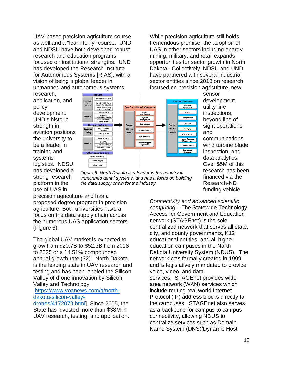UAV-based precision agriculture course as well and a "learn to fly" course. UND and NDSU have both developed robust research and education programs focused on institutional strengths. UND has developed the Research Institute for Autonomous Systems [RIAS], with a vision of being a global leader in unmanned and autonomous systems

While precision agriculture still holds tremendous promise, the adoption of UAS in other sectors including energy, mining, military, and retail expands opportunities for sector growth in North Dakota. Collectively, NDSU and UND have partnered with several industrial sector entities since 2013 on research focused on precision agriculture, new

research, application, and policy development. UND's historic strength in aviation positions the university to be a leader in training and systems logistics. NDSU has developed a strong research platform in the use of UAS in



*Figure 6. North Dakota is a leader in the country in unmanned aerial systems, and has a focus on building the data supply chain for the industry.*

development, utility line inspections, beyond line of sight operations and communications, wind turbine blade inspection, and data analytics. Over \$5M of this research has been financed via the Research-ND funding vehicle.

precision agriculture and has a proposed degree program in precision agriculture. Both universities have a focus on the data supply chain across the numerous UAS application sectors (Figure 6).

The global UAV market is expected to grow from \$20.7B to \$52.3B from 2018 to 2025 or a 14.51% compounded annual growth rate (32). North Dakota is the leading state in UAV research and testing and has been labeled the Silicon Valley of drone innovation by Silicon Valley and Technology

#### [[https://www.voanews.com/a/north](https://www.voanews.com/a/north-dakota-silicon-valley-drones/4172079.html)[dakota-silicon-valley-](https://www.voanews.com/a/north-dakota-silicon-valley-drones/4172079.html)

[drones/4172079.html\]](https://www.voanews.com/a/north-dakota-silicon-valley-drones/4172079.html). Since 2005, the State has invested more than \$38M in UAV research, testing, and application. *Connectivity and advanced scientific computing* – The Statewide Technology Access for Government and Education network (STAGEnet) is the sole centralized network that serves all state, city, and county governments, K12 educational entities, and all higher education campuses in the North Dakota University System (NDUS). The network was formally created in 1999 and is legislatively mandated to provide voice, video, and data services. STAGEnet provides wide area network (WAN) services which include routing real world Internet Protocol (IP) address blocks directly to the campuses. STAGEnet also serves as a backbone for campus to campus connectivity, allowing NDUS to centralize services such as Domain Name System (DNS)/Dynamic Host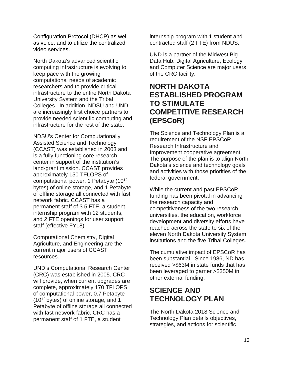Configuration Protocol (DHCP) as well as voice, and to utilize the centralized video services.

North Dakota's advanced scientific computing infrastructure is evolving to keep pace with the growing computational needs of academic researchers and to provide critical infrastructure to the entire North Dakota University System and the Tribal Colleges. In addition, NDSU and UND are increasingly first choice partners to provide needed scientific computing and infrastructure for the rest of the state.

NDSU's Center for Computationally Assisted Science and Technology (CCAST) was established in 2003 and is a fully functioning core research center in support of the institution's land-grant mission. CCAST provides approximately 150 TFLOPS of computational power, 1 Petabyte (1012 bytes) of online storage, and 1 Petabyte of offline storage all connected with fast network fabric. CCAST has a permanent staff of 3.5 FTE, a student internship program with 12 students, and 2 FTE openings for user support staff (effective FY18).

Computational Chemistry, Digital Agriculture, and Engineering are the current major users of CCAST resources.

UND's Computational Research Center (CRC) was established in 2005. CRC will provide, when current upgrades are complete, approximately 170 TFLOPS of computational power, 0.7 Petabyte (1012 bytes) of online storage, and 1 Petabyte of offline storage all connected with fast network fabric. CRC has a permanent staff of 1 FTE, a student

internship program with 1 student and contracted staff (2 FTE) from NDUS.

UND is a partner of the Midwest Big Data Hub. Digital Agriculture, Ecology and Computer Science are major users of the CRC facility.

## **NORTH DAKOTA ESTABLISHED PROGRAM TO STIMULATE COMPETITIVE RESEARCH (EPSCoR)**

The Science and Technology Plan is a requirement of the NSF EPSCoR Research Infrastructure and Improvement cooperative agreement. The purpose of the plan is to align North Dakota's science and technology goals and activities with those priorities of the federal government.

While the current and past EPSCoR funding has been pivotal in advancing the research capacity and competitiveness of the two research universities, the education, workforce development and diversity efforts have reached across the state to six of the eleven North Dakota University System institutions and the five Tribal Colleges.

The cumulative impact of EPSCoR has been substantial. Since 1986, ND has received >\$63M in state funds that has been leveraged to garner >\$350M in other external funding.

# **SCIENCE AND TECHNOLOGY PLAN**

The North Dakota 2018 Science and Technology Plan details objectives, strategies, and actions for scientific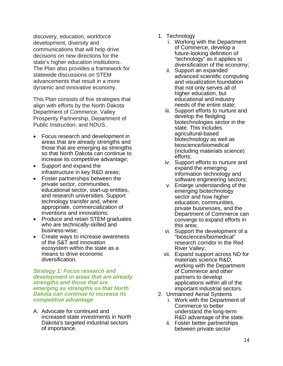discovery, education, workforce development, diversity and communications that will help drive decisions on new directions for the state's higher education institutions. The Plan also provides a framework for statewide discussions on STEM advancements that result in a more dynamic and innovative economy.

This Plan consists of five strategies that align with efforts by the North Dakota Department of Commerce, Valley Prosperity Partnership, Department of Public Instruction, and NDUS.

- Focus research and development in areas that are already strengths and those that are emerging as strengths so that North Dakota can continue to increase its competitive advantage;
- Support and expand the infrastructure in key R&D areas;
- Foster partnerships between the private sector, communities, educational sector, start-up entities, and research universities. Support technology transfer and, where appropriate, commercialization of inventions and innovations;
- Produce and retain STEM graduates who are technically-skilled and business-wise;
- Create ways to increase awareness of the S&T and innovation ecosystem within the state as a means to drive economic diversification.

*Strategy 1: Focus research and development in areas that are already strengths and those that are emerging as strengths so that North Dakota can continue to increase its competitive advantage*

A. Advocate for continued and increased state investments in North Dakota's targeted industrial sectors of importance.

- 1. Technology
	- i. Working with the Department of Commerce, develop a future-looking definition of "technology" as it applies to diversification of the economy;
	- ii. Support an expanded advanced scientific computing and visualization foundation that not only serves all of higher education, but educational and industry needs of the entire state;
	- iii. Support efforts to nurture and develop the fledgling biotechnologies sector in the state. This includes agricultural-based biotechnology as well as bioscience/biomedical (including materials science) efforts;
	- iv. Support efforts to nurture and expand the emerging information technology and software engineering sectors;
	- v. Enlarge understanding of the emerging biotechnology sector and how higher education, communities, private businesses, and the Department of Commerce can converge to expand efforts in this area;
	- vi. Support the development of a "biosciences/biomedical" research corridor in the Red River Valley;
	- vii. Expand support across ND for materials science R&D, working with the Department of Commerce and other partners to develop applications within all of the important industrial sectors.
- 2. Unmanned Aerial Systems
	- i. Work with the Department of Commerce to better understand the long-term R&D advantage of the state.
	- ii. Foster better partnerships between private sector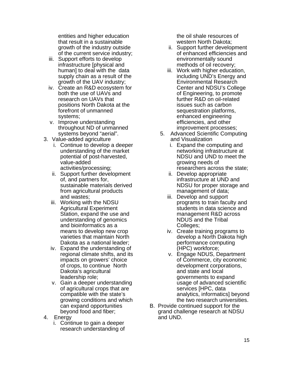entities and higher education that result in a sustainable growth of the industry outside of the current service industry;

- iii. Support efforts to develop infrastructure [physical and human] to deal with the data supply chain as a result of the growth of the UAV industry;
- iv. Create an R&D ecosystem for both the use of UAVs and research on UAVs that positions North Dakota at the forefront of unmanned systems;
- v. Improve understanding throughout ND of unmanned systems beyond "aerial".
- 3. Value-added agriculture
	- i. Continue to develop a deeper understanding of the market potential of post-harvested, value-added activities/processing;
	- ii. Support further development of, and partners for, sustainable materials derived from agricultural products and wastes;
	- iii. Working with the NDSU Agricultural Experiment Station, expand the use and understanding of genomics and bioinformatics as a means to develop new crop varieties that maintain North Dakota as a national leader;
	- iv. Expand the understanding of regional climate shifts, and its impacts on growers' choice of crops, to continue North Dakota's agricultural leadership role;
	- v. Gain a deeper understanding of agricultural crops that are compatible with the state's growing conditions and which can expand opportunities beyond food and fiber;
- 4. Energy
	- i. Continue to gain a deeper research understanding of

the oil shale resources of western North Dakota;

- ii. Support further development of enhanced efficiencies and environmentally sound methods of oil recovery;
- iii. Work with higher education, including UND's Energy and Environmental Research Center and NDSU's College of Engineering, to promote further R&D on oil-related issues such as carbon sequestration platforms, enhanced engineering efficiencies, and other improvement processes;
- 5. Advanced Scientific Computing and Visualization
	- i. Expand the computing and networking infrastructure at NDSU and UND to meet the growing needs of researchers across the state;
	- ii. Develop appropriate infrastructure at UND and NDSU for proper storage and management of data;
	- iii. Develop and support programs to train faculty and students in data science and management R&D across NDUS and the Tribal Colleges;
	- iv. Create training programs to develop a North Dakota high performance computing (HPC) workforce;
	- v. Engage NDUS, Department of Commerce, city economic development corporations, and state and local governments to expand usage of advanced scientific services [HPC, data analytics, informatics] beyond the two research universities.
- B. Provide continued support for the grand challenge research at NDSU and UND.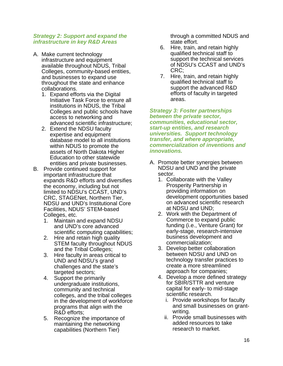#### *Strategy 2: Support and expand the infrastructure in key R&D Areas*

- A. Make current technology infrastructure and equipment available throughout NDUS, Tribal Colleges, community-based entities, and businesses to expand use throughout the state and enhance collaborations.
	- 1. Expand efforts via the Digital Initiative Task Force to ensure all institutions in NDUS, the Tribal Colleges and public schools have access to networking and advanced scientific infrastructure;
	- 2. Extend the NDSU faculty expertise and equipment database model to all institutions within NDUS to promote the assets of North Dakota Higher Education to other statewide entities and private businesses.
- B. Provide continued support for important infrastructure that expands R&D efforts and diversifies the economy, including but not limited to NDSU's CCAST, UND's CRC, STAGENet, Northern Tier, NDSU and UND's Institutional Core Facilities, NDUS' STEM-based Colleges, etc.
	- 1. Maintain and expand NDSU and UND's core advanced scientific computing capabilities;
	- 2. Hire and retain high quality STEM faculty throughout NDUS and the Tribal Colleges;
	- 3. Hire faculty in areas critical to UND and NDSU's grand challenges and the state's targeted sectors;
	- 4. Support the primarily undergraduate institutions, community and technical colleges, and the tribal colleges in the development of workforce programs that align with the R&D efforts;
	- 5. Recognize the importance of maintaining the networking capabilities (Northern Tier)

through a committed NDUS and state effort.

- 6. Hire, train, and retain highly qualified technical staff to support the technical services of NDSU's CCAST and UND's CRC;
- 7. Hire, train, and retain highly qualified technical staff to support the advanced R&D efforts of faculty in targeted areas.

*Strategy 3: Foster partnerships between the private sector, communities, educational sector, start-up entities, and research universities. Support technology transfer, and where appropriate, commercialization of inventions and innovations.* 

- A. Promote better synergies between NDSU and UND and the private sector.
	- 1. Collaborate with the Valley Prosperity Partnership in providing information on development opportunities based on advanced scientific research at NDSU and UND;
	- 2. Work with the Department of Commerce to expand public funding (i.e., Venture Grant) for early-stage, research-intensive business development and commercialization;
	- 3. Develop better collaboration between NDSU and UND on technology transfer practices to create a more streamlined approach for companies;
	- 4. Develop a more defined strategy for SBIR/STTR and venture capital for early- to mid-stage scientific research.
		- i. Provide workshops for faculty and small businesses on grantwriting.
		- ii. Provide small businesses with added resources to take research to market.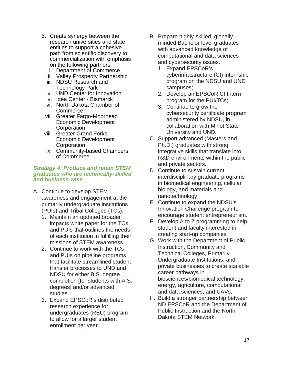- 5. Create synergy between the research universities and state entities to support a cohesive path from scientific discovery to commercialization with emphasis on the following partners:
	- i. Department of Commerce
	- ii. Valley Prosperity Partnership
	- iii. NDSU Research and Technology Park
	- iv. UND Center for Innovation
	- v. Idea Center Bismarck
	- vi. North Dakota Chamber of **Commerce**
	- vii. Greater Fargo-Moorhead Economic Development **Corporation**
- viii. Greater Grand Forks Economic Development **Corporation**
- ix. Community-based Chambers of Commerce

#### *Strategy 4: Produce and retain STEM graduates who are technically-skilled and business-wise*

- A. Continue to develop STEM awareness and engagement at the primarily undergraduate institutions (PUIs) and Tribal Colleges (TCs).
	- 1. Maintain an updated broader impacts white paper for the TCs and PUIs that outlines the needs of each institution in fulfilling their missions of STEM awareness.
	- 2. Continue to work with the TCs and PUIs on pipeline programs that facilitate streamlined student transfer processes to UND and NDSU for either B.S. degree completion [for students with A.S. degrees] and/or advanced studies.
	- 3. Expand EPSCoR's distributed research experience for undergraduates (REU) program to allow for a larger student enrollment per year.
- B. Prepare highly-skilled, globallyminded Bachelor level graduates with advanced knowledge of computational and data sciences and cybersecurity issues.
	- 1. Expand EPSCoR's cyberinfrastructure (CI) internship program on the NDSU and UND campuses;
	- 2. Develop an EPSCoR CI Intern program for the PUI/TCs;
	- 3. Continue to grow the cybersecurity certificate program administered by NDSU, in collaboration with Minot State University and UND.
- C. Support advanced (Masters and Ph.D.) graduates with strong integrative skills that translate into R&D environments within the public and private sectors.
- D. Continue to sustain current interdisciplinary graduate programs in biomedical engineering, cellular biology, and materials and nanotechnology.
- E. Continue to expand the NDSU's Innovation Challenge program to encourage student entrepreneurism.
- F. Develop A to Z programming to help student and faculty interested in creating start-up companies.
- G. Work with the Department of Public Instruction, Community and Technical Colleges, Primarily Undergraduate Institutions, and private businesses to create scalable career pathways in biosciences/biomedical technology, energy, agriculture, computational and data sciences, and UAVs.
- H. Build a stronger partnership between ND EPSCoR and the Department of Public Instruction and the North Dakota STEM Network.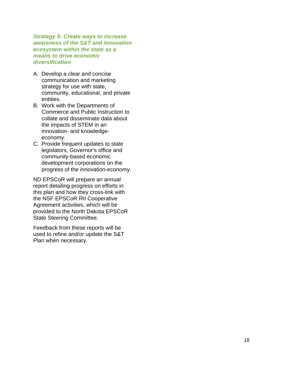*Strategy 5: Create ways to increase awareness of the S&T and innovation ecosystem within the state as a means to drive economic diversification*

- A. Develop a clear and concise communication and marketing strategy for use with state, community, educational, and private entities.
- B. Work with the Departments of Commerce and Public Instruction to collate and disseminate data about the impacts of STEM in an innovation - and knowledge economy.
- C. Provide frequent updates to state legislators, Governor's office and community -based economic development corporations on the progress of the innovation -economy.

ND EPSCoR will prepare an annual report detailing progress on efforts in this plan and how they cross -link with the NSF EPSCoR RII Cooperative Agreement activities, which will be provided to the North Dakota EPSCoR State Steering Committee.

Feedback from these reports will be used to refine and/or update the S&T Plan when necessary.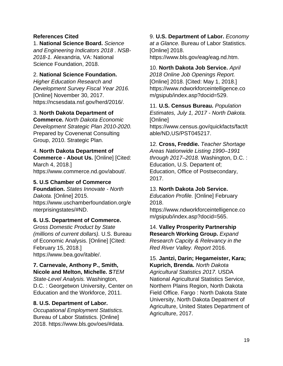#### **References Cited**

1. **National Science Board.** *Science and Engineering Indicators 2018 . NSB-2018-1.* Alexandria, VA: National Science Foundation, 2018.

#### 2. **National Science Foundation.**

*Higher Education Research and Development Survey Fiscal Year 2016.* [Online] November 30, 2017. https://ncsesdata.nsf.gov/herd/2016/.

#### 3. **North Dakota Department of**

**Commerce.** *North Dakota Economic Development Strategic Plan 2010-2020.*  Prepared by Covenenat Consulting Group, 2010. Strategic Plan.

#### 4. **North Dakota Department of**

**Commerce - About Us.** [Online] [Cited: March 4, 2018.] https://www.commerce.nd.gov/about/.

#### **5. U.S Chamber of Commerce**

**Foundation.** *States Innovate - North Dakota.* [Online] 2015. https://www.uschamberfoundation.org/e nterprisingstates/#ND.

#### **6. U.S. Department of Commerce.**

*Gross Domestic Product by State (millions of current dollars).* U.S. Bureau of Economic Analysis. [Online] [Cited: February 15, 2018.] https://www.bea.gov/itable/.

#### **7. Carnevale, Anthony P., Smith,**

**Nicole and Melton, Michelle.** *STEM State-Level Analysis.* Washington, D.C. : Georgetwon University, Center on Education and the Workforce, 2011.

#### **8. U.S. Department of Labor.**

*Occupational Employment Statistics.* Bureau of Labor Statistics. [Online] 2018. https://www.bls.gov/oes/#data. 9. **U.S. Department of Labor.** *Economy at a Glance.* Bureau of Labor Statistics. [Online] 2018. https://www.bls.gov/eag/eag.nd.htm.

10. **North Dakota Job Service.** *April 2018 Online Job Openings Report.* [Online] 2018. [Cited: May 1, 2018.] https://www.ndworkforceintelligence.co m/gsipub/index.asp?docid=529.

11. **U.S. Census Bureau.** *Population Estimates, July 1, 2017 - North Dakota.* [Online]

https://www.census.gov/quickfacts/fact/t able/ND,US/PST045217.

12. **Cross, Freddie.** *Teacher Shortage Areas Nationwide Listing 1990–1991 through 2017–2018.* Washington, D.C. : Education, U.S. Departent of; Education, Office of Postsecondary, 2017.

#### 13. **North Dakota Job Service.**

*Education Profile.* [Online] February 2018.

https://www.ndworkforceintelligence.co m/gsipub/index.asp?docid=565.

14. **Valley Prosperity Partnership Research Working Group.** *Expand Research Capcity & Relevancy in the Red River Valley. Report* 2016.

15. **Jantzi, Darin; Hegameister, Kara; Kuprich, Brenda.** *North Dakota* 

*Agricultural Statistics 2017.* USDA National Agricultural Statistics Service, Northern Plains Region, North Dakota Field Office. Fargo : North Dakota State University, North Dakota Depatment of Agriculture, United States Department of Agriculture, 2017.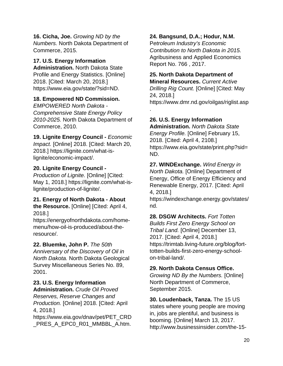**16. Cicha, Joe.** *Growing ND by the Numbers.* North Dakota Department of Commerce, 2015.

## **17. U.S. Energy Information**

**Administration.** North Dakota State Profile and Energy Statistics. [Online] 2018. [Cited: March 20, 2018.] https://www.eia.gov/state/?sid=ND.

## **18. Empowered ND Commission.**

*EMPOWERED North Dakota - Comprehensive State Energy Policy 2010-2025.* North Dakota Department of Commerce, 2010.

**19. Lignite Energy Council -** *Economic Impact.* [Online] 2018. [Cited: March 20, 2018.] https://lignite.com/what-islignite/economic-impact/.

## **20. Lignite Energy Council -**

*Production of Lignite.* [Online] [Cited: May 1, 2018.] https://lignite.com/what-islignite/production-of-lignite/.

#### **21. Energy of North Dakota - About the Resource.** [Online] [Cited: April 4, 2018.]

https://energyofnorthdakota.com/homemenu/how-oil-is-produced/about-theresource/.

## **22. Bluemke, John P.** *The 50th*

*Anniversary of the Discovery of Oil in North Dakota.* North Dakota Geological Survey Miscellaneous Series No. 89, 2001.

## **23. U.S. Energy Information**

**Administration.** *Crude Oil Proved Reserves, Reserve Changes and Production.* [Online] 2018. [Cited: April 4, 2018.]

https://www.eia.gov/dnav/pet/PET\_CRD PRES A EPC0 R01 MMBBL A.htm.

## **24. Bangsund, D.A.; Hodur, N.M.**

P*etroleum Industry's Economic Contribution to North Dakota in 2015.* Agribusiness and Applied Economics Report No. 766 , 2017.

#### **25. North Dakota Department of Mineral Resources.** *Current Active*

*Drilling Rig Count.* [Online] [Cited: May 24, 2018.] https://www.dmr.nd.gov/oilgas/riglist.asp

**26. U.S. Energy Information** 

.

**Administration.** *North Dakota State Energy Profile.* [Online] February 15, 2018. [Cited: April 4, 2108.] https://www.eia.gov/state/print.php?sid= ND.

**27. WINDExchange.** *Wind Energy in North Dakota.* [Online] Department of Energy, Office of Energy Efficiency and Renewable Energy, 2017. [Cited: April 4, 2018.]

https://windexchange.energy.gov/states/ nd.

**28. DSGW Architects.** *Fort Totten Builds First Zero Energy School on Tribal Land.* [Online] December 13, 2017. [Cited: April 4, 2018.] https://trimtab.living-future.org/blog/forttotten-builds-first-zero-energy-schoolon-tribal-land/.

## **29. North Dakota Census Office.**

*Growing ND By the Numbers.* [Online] North Department of Commerce, September 2015.

**30. Loudenback, Tanza.** The 15 US states where young people are moving in, jobs are plentiful, and business is booming. [Online] March 13, 2017. http://www.businessinsider.com/the-15-